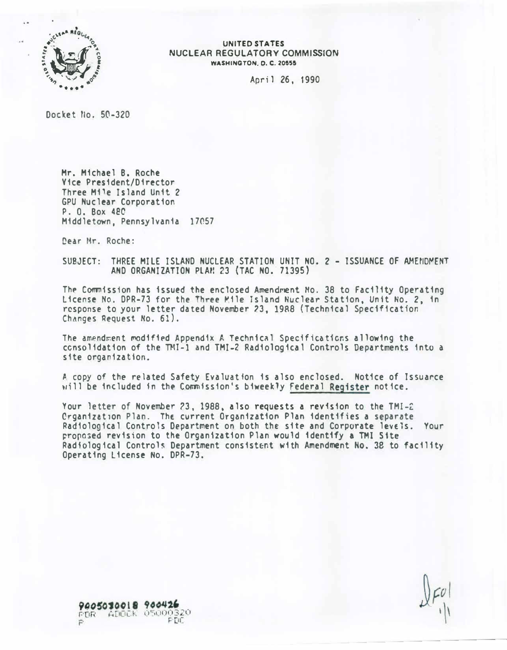

#### **UNITED STATES** NUCLEAR REGULATORY COMMISSION **WASHINGTON, D. C. 20555**

April 26, 1990

Docket No. 50-320

Mr. Michael B. Roche Yice President/Director Three Mile Island Unit 2 GPU Nuclear Corporation P. O. Box 480 Middletown, Pennsylvania 17057

Dear Mr. Roche:

SUBJECT: THREE MILE ISLAND NUCLEAR STATION UNIT NO. 2 - ISSUANCE OF AMENDMENT AND ORGANIZATION PLAN 23 (TAC NO. 71395)

The Commission has issued the enclosed Amendment No. 38 to Facility Operating License No. DPR-73 for the Three Mile Island Nuclear Station, Unit No. 2, in response to your letter dated November 23, 1988 (Technical Specification) Changes Request No. 61).

The amendment modified Appendix A Technical Specifications allowing the consolidation of the TMI-1 and TMI-2 Radiological Controls Departments into a site organization.

A copy of the related Safety Evaluation is also enclosed. Notice of Issuance will be included in the Commission's biweekly Federal Register notice.

Your letter of November 23, 1988, also requests a revision to the TMI-2 Crganization Plan. The current Organization Plan identifies a separate Radiological Controls Department on both the site and Corporate levels. Your proposed revision to the Organization Plan would identify a TMI Site Radiological Controls Department consistent with Amendment No. 38 to facility Operating License No. DPR-73.

9005030018 900426 ADOCK 05000320 FDR PIL.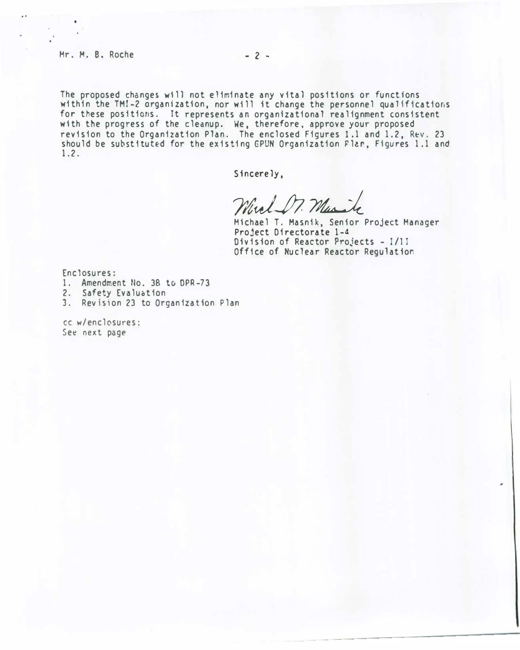#### Mr. M. B. Roche - 2 -

The proposed changes will not eliminate any vital positions or functions within the TMI-2 organization, nor will it change the personnel qualifications for these positions. It represents an organizational realignment consistent with the progress of the cleanup. We, therefore, approve your proposed revision to the Organization Plan. The enclosed Figures 1.1 and 1.2, Rev. 23 should be substituted for the existing GPUN Organization Flar, Figures 1.1 and 1.2.

Sincerely,

Mul Dr. Marik

Michael T. Masnik, Senior Project Manager Project Directorate 1-4 Division of Reactor Projects - 1/ll Office of Nuclear Reactor Regulation

Enclosures:

1. Amendment No. 38 to DPR-73

2. Safety Evaluotion

3. Revision 23 to Organization Plan

cc w/enclosures: See next page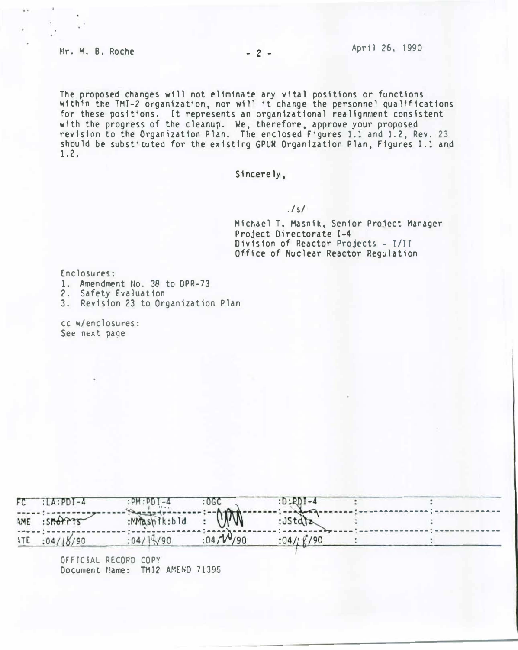The proposed changes will not eliminate any vital positions or functions within the TMT -2 organization, nor will it change the personnel qualifications with the progress of the cleanup. We, therefore, approve your proposed for these positions. It represents an organizational realignment consistent revision to the Organization Plan. The enclosed Figures 1.1 and 1.2, Rev. 23 should be substituted for the existing GPUN Organization Plan, Figures 1.1 and 1. 2.

Sincerely,

## $.1 s1$

Michael T. Masnik, Senior Project Manager Project Directorate 1-4 Division of Reactor Projects – I/II Office of Nuclear Reactor Regulation

- --------------------------

Enclosures:

- 1. Amendment No. 38 to DPR-73
- 2. Safety Evaluation
- 3. Revision 23 to Organization Plan

cc w/enclosures:<br>See next page

| $FC$ $LA$ : $PDI - 4$                                         | $PM \cdot PDI - 4$ : OGC |                 | $:D$ $RD$ $I$ 4 |                                                                                           |
|---------------------------------------------------------------|--------------------------|-----------------|-----------------|-------------------------------------------------------------------------------------------|
| AME : SMOPPES                                                 | MMSn1k:bld               |                 | : Jstalz        | vicycon resear (esse), consumer (essex research recent recent research ' essex research - |
| $\cdots \cdots \cdots \cdots \cdots$<br><b>ATE : 04/18/90</b> | $:04/\sqrt{3}/90$        | $:04/\sqrt{90}$ | :04//(190)      |                                                                                           |

OFFICIAL RECORD COPY Document *Name:* TMJ2 AMEND 71395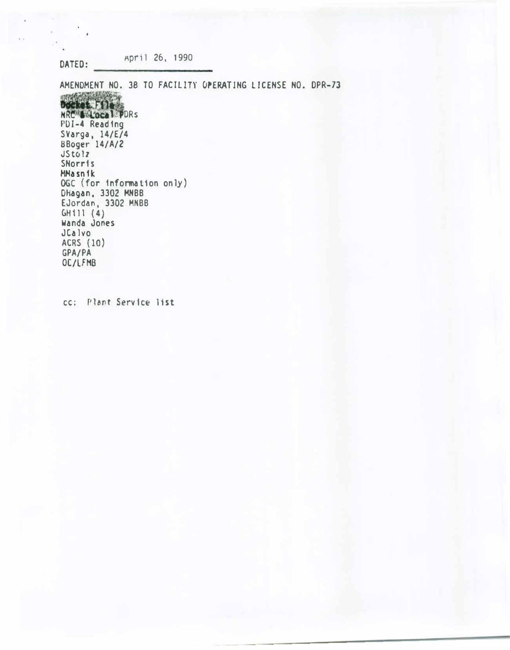April 26, 1990 DATED:

 $\lambda$ 

AMENDMENT NO. 38 TO FACILITY OPERATING LICENSE NO. DPR-73 Decket File PDI-4 Reading<br>SVarga, 14/E/4 BBoger 14/A/2 **JStolz SNorris MMasnik** OGC (for information only) DHagan, 3302 MNBB EJordan, 3302 MNBB<br>GH111 (4)<br>Wanda Jones JCalvo ACRS (10) GPA/PA OC/LFMB

cc: Plant Service list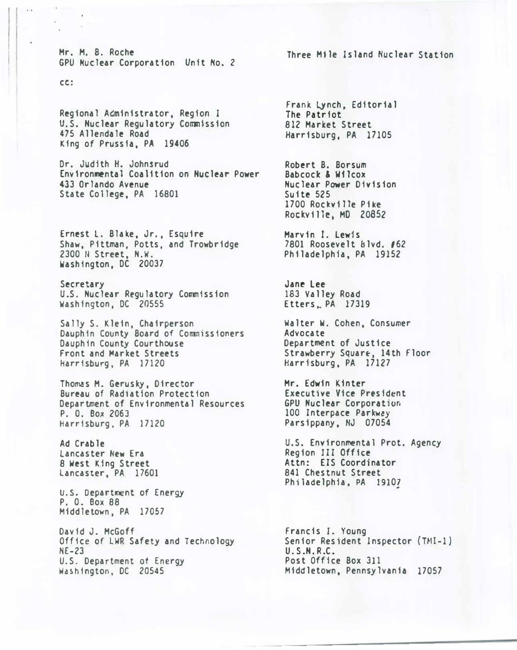Mr. M. B. Roche GPU Nuclear Corporation Unit No. 2

cc:

-98

Regional AGministrator, Region I U.S. Nuclear Regulatory Commission 475 Allendale Road King of Prussia, PA 19406

Dr. Judith H. Johnsrud Environmental Coalition on Nuclear Power 433 Orlando Avenue State College, PA 16801

Ernest l. Blake, Jr., Esquire Shaw, Pittman, Potts, and Trowbridge 2300 � Street, N.W. Washington, DC 20037

Secretary U.S. Nuclear Regulatory Commission Washington, DC 20555

Sally S. Klein, Chairperson Dauphin County Board of Commissioners Dauphin County Courthouse Front and Market Streets Harrisburg, PA 17120

Thomas M. Gerusky, Director Bureau of Radiation Protection Department of Environmental Resources P. 0. Box 2063 Harrisburg, PA 17120

Ad Crable lancaster New Era 8 West King Street Lancaster, PA 17601

U.S. Department of Energy P. 0. Box 88 Middletown, PA 17057

David J. McGoff Office of LWR Safety and Technology NE-23 U.S. Department of Energy Washington, DC 20545

Three Mile Island Nuclear Station

Frank LYnch, Editorial The Patriot 812 Market Street Harrisburg, PA 17105

Robert B. Borsum Babcock & Wilcox Nuclear Power Division Suite 525 1700 Rockville Pike Rockville, MD 20852

Marvin I. lewis 7801 Roosevelt Blvd. /62 Philadelphia, PA 19152

Jane Lee 183 Valley Road Etters, PA 17319

Walter W. Cohen, Consumer Advocate Department of Justice Strawberry Square, 14th Floor Harrisburg, PA 17127

Mr. Edwin Kinter Executive Vice President GPU Nuclear Corporation 100 Interpace Parkw�y Parsippany. NJ 07054

U.S. Environmental Prot. Agency Region III Office Attn: EIS Coordinator 841 Chestnut Street Philadelphia, PA 1910?

Francis I. Young Senior Resident Inspector (TMI-1) U.S.N.R.C. Post Office Box 311 Middletown, Pennsylvania 17057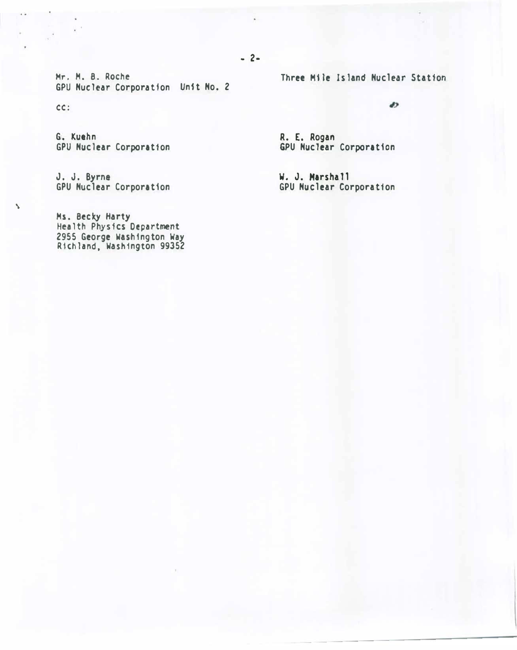.. 2-

Mr. M. B. Roche GPU Nuclear Corporation Unit No. 2

CC:

 $\Delta$ 

G. Kuehn GPU Nuclear Corporation

J. J. Byrne GPU Nuclear Corporation

Ms. Becky Harty Health Physics Department 2955 George Washington Way R1chland. Washington 99352 Three M11e Island Nuclear Station

 $\bullet$ 

R. E. Rogan GPU Nuclear Corporation

w. J. Marshall GPU Nuclear Corporat1on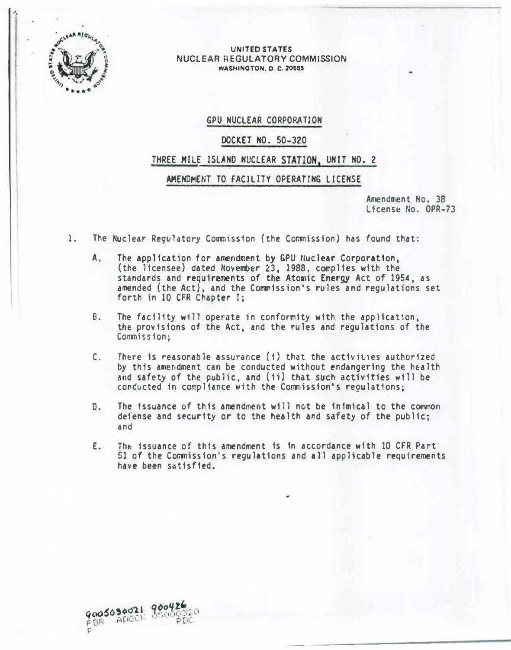

,.,

#### UNITED STATES NUCLEAR REGULATORY COMMISSION WASHINGTON, 0. C. Z0555

### GPU NUCLEAR CORPORATION

## DOCKET NO. 50-320

## THREE MILE ISLAND NUCLEAR STATION, UNIT NO. 2

### AMENDMENT TO FACILITY OPERATING LICENSE

Amendment No. 38 License No. OPR-73

- 1. The Nuclear Regulatory Commission (the Commission) has found that:
	- A. The application for amendment by GPU Nuclear Corporation, (the licensee) dated November 23, 1988, complies with the standards and requirements of the Ato�ic Energy Act of 1954, as amended (the Act), and the Commission's rules and regulations set forth in 10 CFR Chapter I;
	- B. The facility will operate in conformity with the application, the provisions of the Act, and the rules and regulations of the Commission:
	- C. There is reasonable assurance  $(1)$  that the activities authorized by this amendment can be conducted without endangering the health and safety of the public, and (1i) that such activities will be conducted in compliance with the Commission's regulations;
	- D. The issuance of this amendment will not be fnfmical to the common defense and security or to the health and safety of the public; and
	- E. The issuance of this amendment is in accordance with 10 CFR Part 51 of the Commission's regulations and all applicable requirements have been satisfied.

9005030021 90042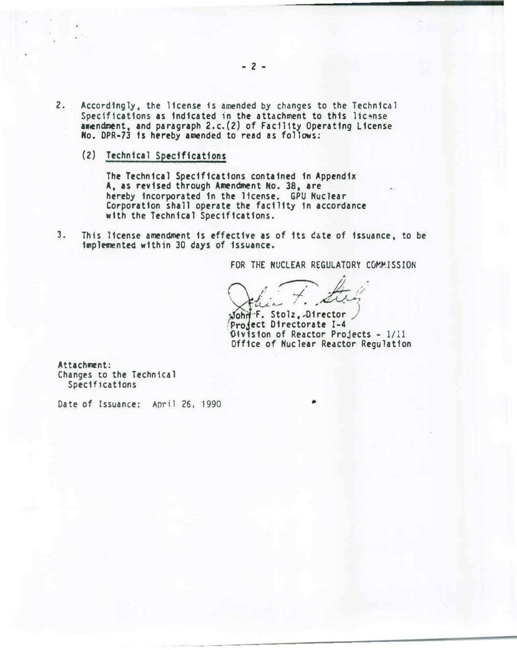- $2.$ Accordingly, the license is amended by changes to the Technical Specifications as indicated in the attachment to this license amendment, and paragraph 2.c.(2) of Facility Operating License No. DPR-73 is hereby amended to read as follows:
	- (2) Technical Specifications

The Technical Specifications contained in Appendix A, as revised through Amendment No. 38, are hereby incorporated in the license. GPU Nuclear Corporation shall operate the facility in accordance with the Technical Specifications.

This license amendment is effective as of its date of issuance, to be  $3<sub>1</sub>$ implemented within 30 days of issuance.

FOR THE NUCLEAR REGULATORY COMMISSION

John F. Stolz, Director Project Directorate I-4 Oivision of Reactor Projects - 1/11 Office of Nuclear Reactor Regulation

Attachment: Changes to the Technical Specifications

Date of Issuance: April 26, 1990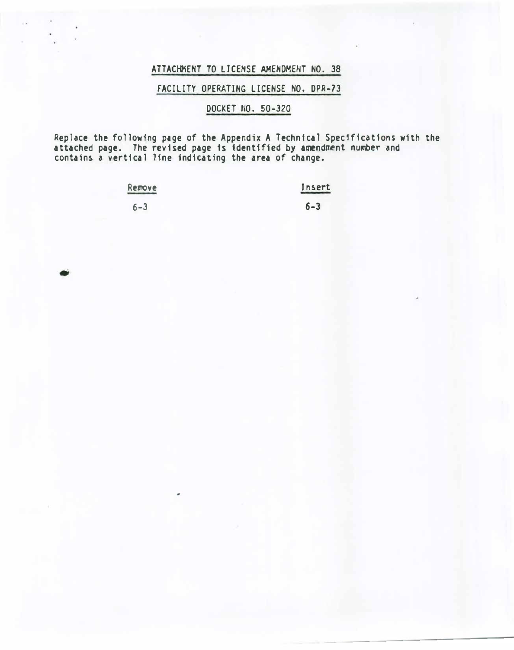# ATTACHMENT TO LICENSE AMENDMENT NO. 38

## FACILITY OPERATING LICENSE NO. DPR-73

# DOCKET NO. 50-320

Replace the following page of the Appendix A Technical Specifications w1th the attached page. The revised page is 1dent1f1ed by &�ndment nu�er and contains a vertical line indicating the area of change.

| Remove  | Insert  |
|---------|---------|
| $6 - 3$ | $6 - 3$ |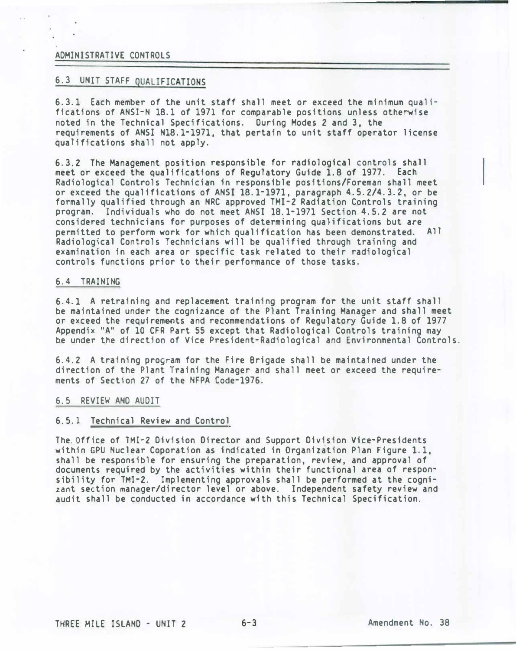### ADMINISTRATIVE CONTROLS

## 6.3 UNIT STAFF QUALIFICATIONS

6.3.1 Each member of the unit staff shall meet or exceed the minimum qualifications of ANSI-N 18.1 of 1971 for comparable positions unless otherwise noted in the Technical Specifications. During Modes 2 and 3, the requirements of ANSI N18.1-1971, that pertain to unit staff operator license qualifications shall not apply.

6.3.2 The Management position responsible for radiological controls shall meet or exceed the qualifications of Regulatory Guide 1.8 of 1977. Each Radiological Controls Technician in responsible positions/Foreman shall meet or exceed the qualifications of ANSI 18.1-1971, paragraph 4.5.2/4.3.2, or be formally qualified through an NRC approved TMI-2 Radiation Controls training program. Individuals who do not meet ANSI 18.1-1971 Section 4.5.2 are not considered technicians for purposes of determining qualifications but are permitted to perform work for which qualification has been demonstrated. All Radiological Controls Technicians will be qualified through training and examination in each area or specific task related to their radiological controls functions prior to their performance of those tasks.

#### 6.4 TRAINING

6.4.1 A retraining and replacement training program for the unit staff shall be maintained under the cognizance of the Plant Training Manager and shall meet or exceed the requirements and recommendations of Regulatory Guide 1.8 of 1977 Appendix "A" of 10 CFR Part 55 except that Radiological Controls training may be under the direction of Vice President-Radiological and Environmental Controls.

6.4.2 A training program for the Fire Brigade shall be maintained under the direction of the Plant Training Manager and shall meet or exceed the requirements of Section 27 of the NFPA Code-1976.

#### 6.5 REVIEW AND AUDIT

#### 6.5.1 Technical Review and Control

The.Office of TMI-2 Division Director and Support Division Vice-Presidents within GPU Nuclear Coporation as indicated in Organization Plan Figure 1.1, shall be responsible for ensuring the preparation, review. and approval of documents required by the activities within their functional area of responsibility for TMI-2. Implementing approvals shall be performed at the cognizant section manager/director level or above. Independent safety review and audit shall be conducted in accordance with this Technical Specification.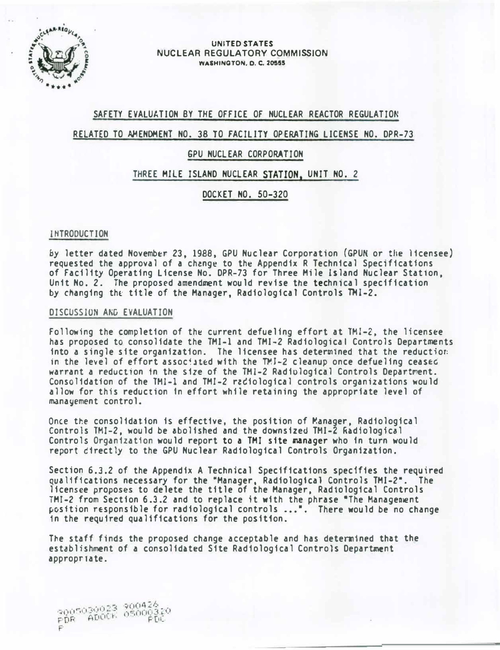

UNITED STATES NUCLEAR REGULATORY COMMISSION WASHINGTON, D. C. 20555

## SAFETY EVALUATION BY THE OFFICE OF NUCLEAR REACTOR REGULATION

## RELATED TO AMENDMENT NO. 38 TO FACILITY OPERATING LICENSE NO. DPR-73

### GPU NUCLEAR CORPORATION

### THREE MILE ISLAND NUCLEAR STATION, UNIT NO. 2

DOCKET NO. 50-320

### INTRODUCTION

by letter dated November 23, 1988, GPU Nuclear Corporation (GPUN or the licensee) requested the approval of a change to the Appendix R Technical Specifications of Facility Operating License No. DPR-73 for Three Mile Island Nuclear Stat1on, Unit No. 2. The proposed amendment would revise the technical specification by changing the title of the Manager, Radiological Controls TMI-2.

#### DISCUSSION AND EVALUATION

Following the completion of the current defueling effort at  $TMI-2$ , the licensee has proposed to consolidate the TMI-1 and TMI-2 Radiological Controls Departments into a single site organization. The licensee has determined that the reduction: in the level of effort associated with the TMI-2 cleanup once defueling ceased warrant a reduction in the size of the TMI-2 Radiological Controls Department. Consolidation of the TMI-1 and TMI-2 radiological controls organizations would allow for this reduction in effort while retaining the appropriate level of manayement control.

Once the consolidation is effective, the position of Manager, Radiological Controls TMI-2, would be abolished and the downsized TMI-2 Radiological Controls Organization would report to a TMI site manager who in turn would report directly to the GPU Nuclear Radiological Controls Organization.

Section 6.3.2 of the Appendix A Technical Specifications specifies the required qualifications necessary for the "Manager, Radiological Controls TMI-2•. The licensee proposes to delete the title of the Manager, Radiological Controls TMI-2 from Section 6.3.2 and to replace it with the phrase "The Management position responsible for radiological controls ...". There would be no change 1n the required qualifications for the position.

The staff finds the proposed change acceptable and has determined that the establishment of a consolidated Site Radiological Controls Department appropn ate.

2005030023 200426<br>PDR ADOCK 05000320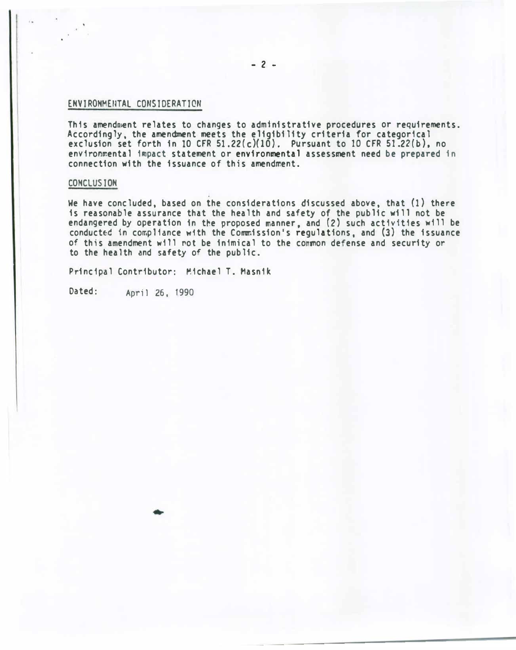#### ENVIRONMENTAL CONSIDERATION

This amendment relates to changes to administrative procedures or requirements. Accordingly, the amendment meets the eligibility criteria for categorical exclusion set forth in 10 CFR 51.22(c)(10). Pursuant to 10 CFR 51.22(b), no environmental impact statement or environmental assessment need be prepared in connection with the issuance of this amendment.

### CONCLUSION

We have concluded, based on the considerations discussed above, that (1) there is reasonable assurance that the health and safety of the public will not be endangered by operation in the proposed manner, and (2) such activities will be conduct�d in compliance w1th the Commission's regulations, and (3) the issuance of this amendment will �ot be inimical to the common defense and security or to the health and safety of the public.

Principal Contributor: �ichael T. Hasnik

Dated: April 26, 1990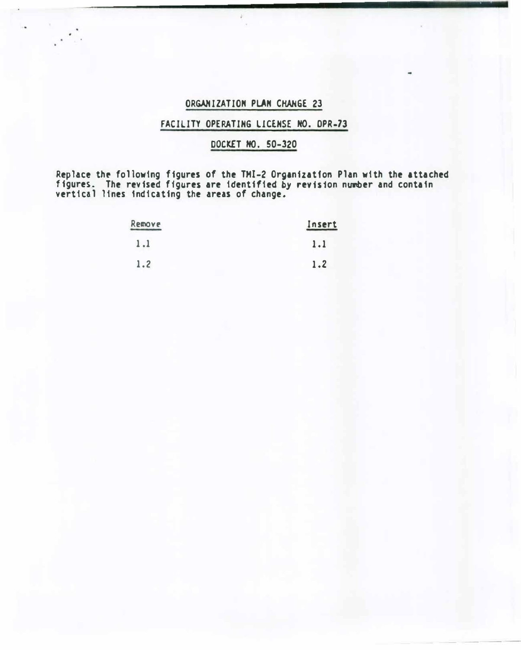## ORGANIZATION PLAN CHANGE 23

# FACILITY OPERATING LICENSE NO. OPR-73

# DOCKET HO. 50-320

Replace the following figures of the THI-2 Organization Plan with the attached figures. The revised figures are identified by revision number and contain vertical lines indicating the areas of change.

| Remove | Insert |  |
|--------|--------|--|
| 1.1    | 1.1    |  |
| 1.2    | 1.2    |  |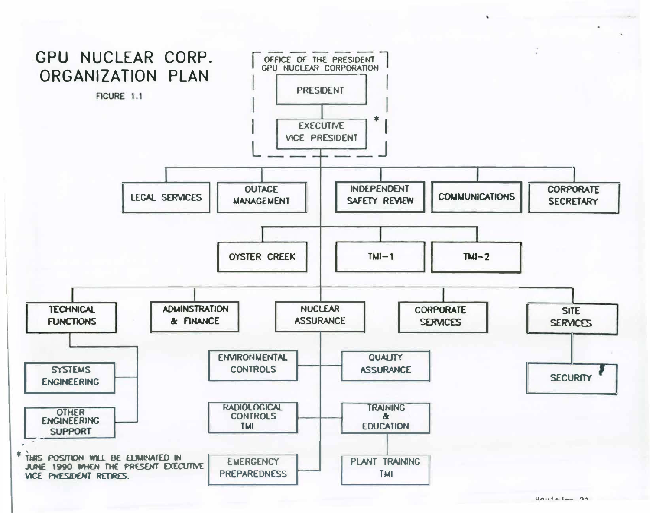

 $\lambda$